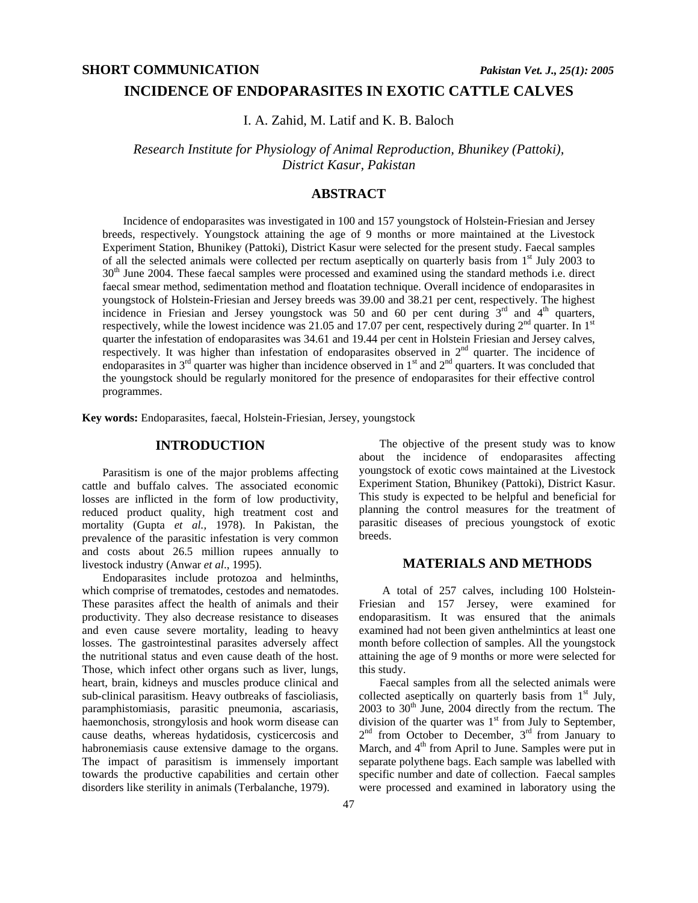# **INCIDENCE OF ENDOPARASITES IN EXOTIC CATTLE CALVES**

I. A. Zahid, M. Latif and K. B. Baloch

*Research Institute for Physiology of Animal Reproduction, Bhunikey (Pattoki), District Kasur, Pakistan* 

# **ABSTRACT**

Incidence of endoparasites was investigated in 100 and 157 youngstock of Holstein-Friesian and Jersey breeds, respectively. Youngstock attaining the age of 9 months or more maintained at the Livestock Experiment Station, Bhunikey (Pattoki), District Kasur were selected for the present study. Faecal samples of all the selected animals were collected per rectum aseptically on quarterly basis from  $1<sup>st</sup>$  July 2003 to  $30<sup>th</sup>$  June 2004. These faecal samples were processed and examined using the standard methods i.e. direct faecal smear method, sedimentation method and floatation technique. Overall incidence of endoparasites in youngstock of Holstein-Friesian and Jersey breeds was 39.00 and 38.21 per cent, respectively. The highest incidence in Friesian and Jersey youngstock was 50 and 60 per cent during  $3<sup>rd</sup>$  and  $4<sup>th</sup>$  quarters, respectively, while the lowest incidence was 21.05 and 17.07 per cent, respectively during  $2<sup>nd</sup>$  quarter. In 1<sup>st</sup> quarter the infestation of endoparasites was 34.61 and 19.44 per cent in Holstein Friesian and Jersey calves, respectively. It was higher than infestation of endoparasites observed in 2<sup>nd</sup> quarter. The incidence of endoparasites in  $3<sup>rd</sup>$  quarter was higher than incidence observed in  $1<sup>st</sup>$  and  $2<sup>nd</sup>$  quarters. It was concluded that the youngstock should be regularly monitored for the presence of endoparasites for their effective control programmes.

**Key words:** Endoparasites, faecal, Holstein-Friesian, Jersey, youngstock

### **INTRODUCTION**

Parasitism is one of the major problems affecting cattle and buffalo calves. The associated economic losses are inflicted in the form of low productivity, reduced product quality, high treatment cost and mortality (Gupta *et al.,* 1978). In Pakistan, the prevalence of the parasitic infestation is very common and costs about 26.5 million rupees annually to livestock industry (Anwar *et al*., 1995).

Endoparasites include protozoa and helminths, which comprise of trematodes, cestodes and nematodes. These parasites affect the health of animals and their productivity. They also decrease resistance to diseases and even cause severe mortality, leading to heavy losses. The gastrointestinal parasites adversely affect the nutritional status and even cause death of the host. Those, which infect other organs such as liver, lungs, heart, brain, kidneys and muscles produce clinical and sub-clinical parasitism. Heavy outbreaks of fascioliasis, paramphistomiasis, parasitic pneumonia, ascariasis, haemonchosis, strongylosis and hook worm disease can cause deaths, whereas hydatidosis, cysticercosis and habronemiasis cause extensive damage to the organs. The impact of parasitism is immensely important towards the productive capabilities and certain other disorders like sterility in animals (Terbalanche, 1979).

The objective of the present study was to know about the incidence of endoparasites affecting youngstock of exotic cows maintained at the Livestock Experiment Station, Bhunikey (Pattoki), District Kasur. This study is expected to be helpful and beneficial for planning the control measures for the treatment of parasitic diseases of precious youngstock of exotic breeds.

### **MATERIALS AND METHODS**

 A total of 257 calves, including 100 Holstein-Friesian and 157 Jersey, were examined for endoparasitism. It was ensured that the animals examined had not been given anthelmintics at least one month before collection of samples. All the youngstock attaining the age of 9 months or more were selected for this study.

Faecal samples from all the selected animals were collected aseptically on quarterly basis from  $1<sup>st</sup>$  July,  $2003$  to  $30<sup>th</sup>$  June,  $2004$  directly from the rectum. The division of the quarter was  $1<sup>st</sup>$  from July to September, 2<sup>nd</sup> from October to December, 3<sup>rd</sup> from January to March, and  $4<sup>th</sup>$  from April to June. Samples were put in separate polythene bags. Each sample was labelled with specific number and date of collection. Faecal samples were processed and examined in laboratory using the